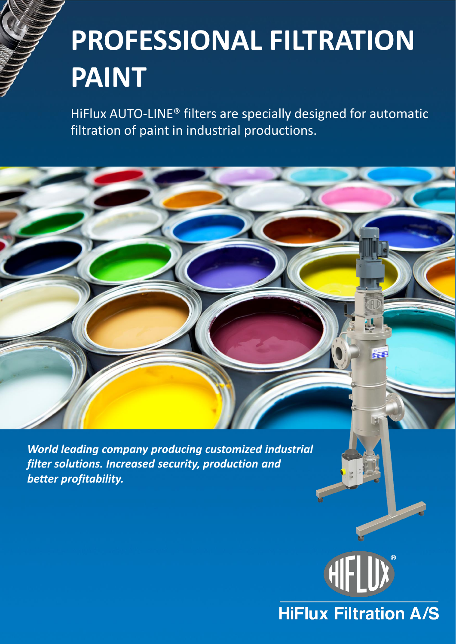# **PROFESSIONAL FILTRATION PAINT**

HiFlux AUTO-LINE® filters are specially designed for automatic filtration of paint in industrial productions.

*World leading company producing customized industrial filter solutions. Increased security, production and better profitability.*